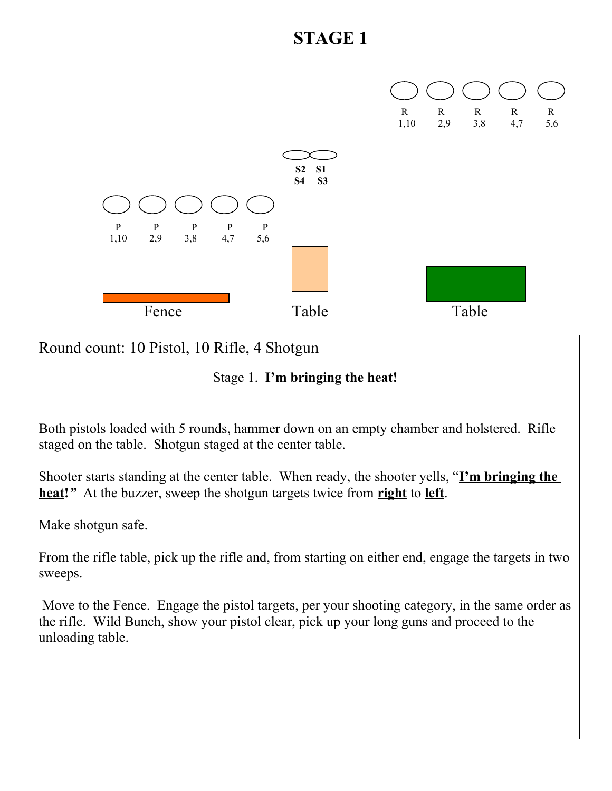

Round count: 10 Pistol, 10 Rifle, 4 Shotgun

#### Stage 1. **I'm bringing the heat!**

Both pistols loaded with 5 rounds, hammer down on an empty chamber and holstered. Rifle staged on the table. Shotgun staged at the center table.

Shooter starts standing at the center table. When ready, the shooter yells, "**I'm bringing the heat!***"* At the buzzer, sweep the shotgun targets twice from **right** to **left**.

Make shotgun safe.

From the rifle table, pick up the rifle and, from starting on either end, engage the targets in two sweeps.

 Move to the Fence. Engage the pistol targets, per your shooting category, in the same order as the rifle. Wild Bunch, show your pistol clear, pick up your long guns and proceed to the unloading table.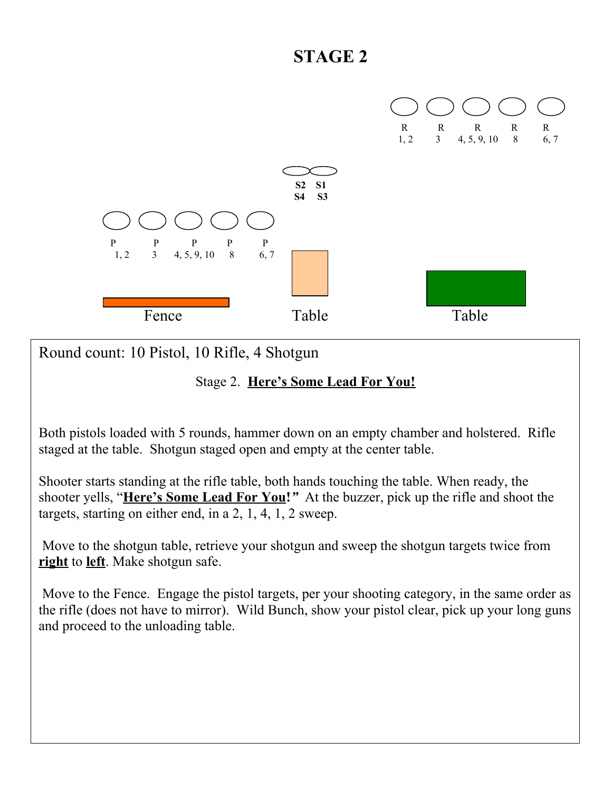

Round count: 10 Pistol, 10 Rifle, 4 Shotgun

#### Stage 2. **Here's Some Lead For You!**

Both pistols loaded with 5 rounds, hammer down on an empty chamber and holstered. Rifle staged at the table. Shotgun staged open and empty at the center table.

Shooter starts standing at the rifle table, both hands touching the table. When ready, the shooter yells, "**Here's Some Lead For You!***"* At the buzzer, pick up the rifle and shoot the targets, starting on either end, in a 2, 1, 4, 1, 2 sweep.

 Move to the shotgun table, retrieve your shotgun and sweep the shotgun targets twice from **right** to **left**. Make shotgun safe.

 Move to the Fence. Engage the pistol targets, per your shooting category, in the same order as the rifle (does not have to mirror). Wild Bunch, show your pistol clear, pick up your long guns and proceed to the unloading table.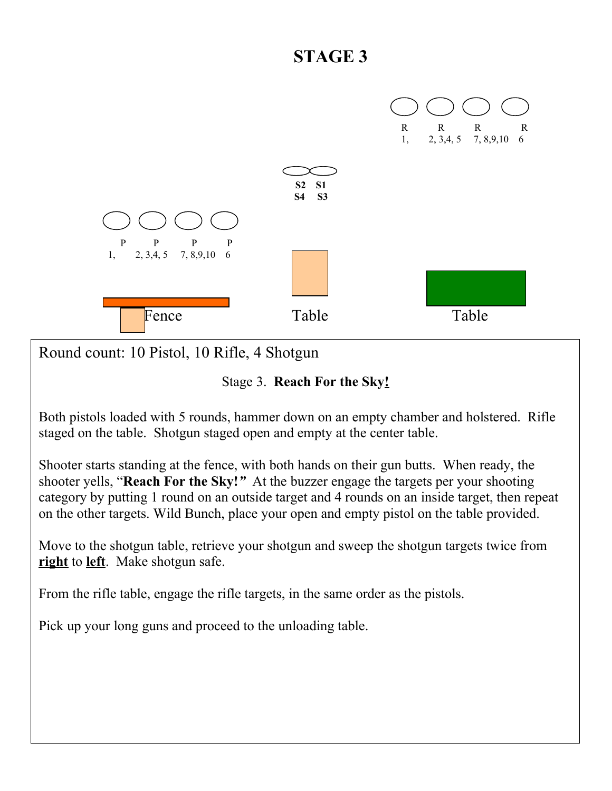

Round count: 10 Pistol, 10 Rifle, 4 Shotgun

Stage 3. **Reach For the Sky!**

Both pistols loaded with 5 rounds, hammer down on an empty chamber and holstered. Rifle staged on the table. Shotgun staged open and empty at the center table.

Shooter starts standing at the fence, with both hands on their gun butts. When ready, the shooter yells, "**Reach For the Sky!***"* At the buzzer engage the targets per your shooting category by putting 1 round on an outside target and 4 rounds on an inside target, then repeat on the other targets. Wild Bunch, place your open and empty pistol on the table provided.

Move to the shotgun table, retrieve your shotgun and sweep the shotgun targets twice from **right** to **left**. Make shotgun safe.

From the rifle table, engage the rifle targets, in the same order as the pistols.

Pick up your long guns and proceed to the unloading table.